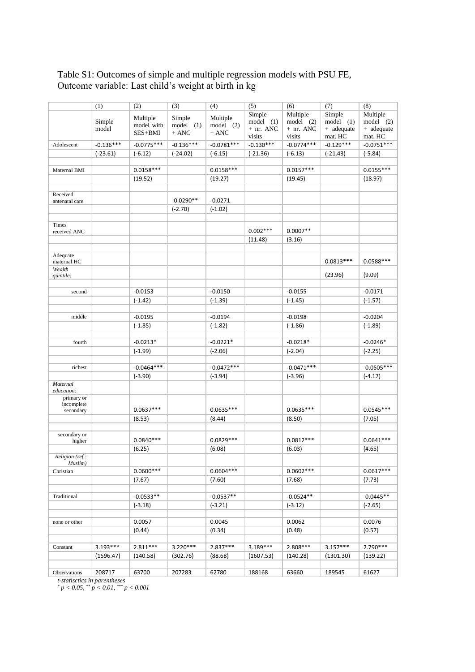## Table S1: Outcomes of simple and multiple regression models with PSU FE, Outcome variable: Last child's weight at birth in kg

|                            | (1)         | (2)          | (3)         | (4)          | (5)                   | (6)                    | (7)                    | (8)                     |
|----------------------------|-------------|--------------|-------------|--------------|-----------------------|------------------------|------------------------|-------------------------|
|                            |             | Multiple     | Simple      | Multiple     | Simple                | Multiple               | Simple                 | Multiple                |
|                            | Simple      | model with   | model (1)   | $model$ (2)  | model (1)             | $model$ (2)            | model (1)              | $model$ (2)             |
|                            | model       | SES+BMI      | $+$ ANC     | + ANC        | $+$ nr. ANC           | $+$ nr. ANC            | + adequate             | + adequate              |
| Adolescent                 | $-0.136***$ | $-0.0775***$ | $-0.136***$ | $-0.0781***$ | visits<br>$-0.130***$ | visits<br>$-0.0774***$ | mat. HC<br>$-0.129***$ | mat. HC<br>$-0.0751***$ |
|                            |             |              |             | $(-6.15)$    | $(-21.36)$            |                        |                        |                         |
|                            | $(-23.61)$  | $(-6.12)$    | $(-24.02)$  |              |                       | $(-6.13)$              | $(-21.43)$             | $(-5.84)$               |
| Maternal BMI               |             | $0.0158***$  |             | $0.0158***$  |                       | $0.0157***$            |                        | $0.0155***$             |
|                            |             | (19.52)      |             | (19.27)      |                       | (19.45)                |                        | (18.97)                 |
|                            |             |              |             |              |                       |                        |                        |                         |
| Received                   |             |              |             |              |                       |                        |                        |                         |
| antenatal care             |             |              | $-0.0290**$ | $-0.0271$    |                       |                        |                        |                         |
|                            |             |              | $(-2.70)$   | $(-1.02)$    |                       |                        |                        |                         |
|                            |             |              |             |              |                       |                        |                        |                         |
| Times<br>received ANC      |             |              |             |              | $0.002***$            | $0.0007**$             |                        |                         |
|                            |             |              |             |              | (11.48)               | (3.16)                 |                        |                         |
|                            |             |              |             |              |                       |                        |                        |                         |
| Adequate                   |             |              |             |              |                       |                        |                        |                         |
| maternal HC                |             |              |             |              |                       |                        | $0.0813***$            | $0.0588***$             |
| Wealth                     |             |              |             |              |                       |                        |                        |                         |
| quintile:                  |             |              |             |              |                       |                        | (23.96)                | (9.09)                  |
|                            |             | $-0.0153$    |             | $-0.0150$    |                       | $-0.0155$              |                        | $-0.0171$               |
| second                     |             |              |             |              |                       |                        |                        |                         |
|                            |             | $(-1.42)$    |             | $(-1.39)$    |                       | $(-1.45)$              |                        | $(-1.57)$               |
| middle                     |             | $-0.0195$    |             | $-0.0194$    |                       | $-0.0198$              |                        | $-0.0204$               |
|                            |             | $(-1.85)$    |             | $(-1.82)$    |                       | $(-1.86)$              |                        | $(-1.89)$               |
|                            |             |              |             |              |                       |                        |                        |                         |
| fourth                     |             | $-0.0213*$   |             | $-0.0221*$   |                       | $-0.0218*$             |                        | $-0.0246*$              |
|                            |             | $(-1.99)$    |             | $(-2.06)$    |                       | $(-2.04)$              |                        | $(-2.25)$               |
|                            |             |              |             |              |                       |                        |                        |                         |
| richest                    |             | $-0.0464***$ |             | $-0.0472***$ |                       | $-0.0471***$           |                        | $-0.0505***$            |
|                            |             | $(-3.90)$    |             | $(-3.94)$    |                       | $(-3.96)$              |                        | $(-4.17)$               |
| Maternal                   |             |              |             |              |                       |                        |                        |                         |
| education:                 |             |              |             |              |                       |                        |                        |                         |
| primary or                 |             |              |             |              |                       |                        |                        |                         |
| incomplete<br>secondary    |             | $0.0637***$  |             | $0.0635***$  |                       | $0.0635***$            |                        | $0.0545***$             |
|                            |             | (8.53)       |             | (8.44)       |                       | (8.50)                 |                        | (7.05)                  |
|                            |             |              |             |              |                       |                        |                        |                         |
| secondary or               |             |              |             |              |                       |                        |                        |                         |
| higher                     |             | $0.0840***$  |             | $0.0829***$  |                       | $0.0812***$            |                        | $0.0641***$             |
|                            |             | (6.25)       |             | (6.08)       |                       | (6.03)                 |                        | (4.65)                  |
| Religion (ref.:<br>Muslim) |             |              |             |              |                       |                        |                        |                         |
| Christian                  |             | $0.0600***$  |             | $0.0604***$  |                       | $0.0602***$            |                        | $0.0617***$             |
|                            |             | (7.67)       |             | (7.60)       |                       | (7.68)                 |                        | (7.73)                  |
|                            |             |              |             |              |                       |                        |                        |                         |
| Traditional                |             | $-0.0533**$  |             | $-0.0537**$  |                       | $-0.0524**$            |                        | $-0.0445**$             |
|                            |             | $(-3.18)$    |             | $(-3.21)$    |                       | $(-3.12)$              |                        | $(-2.65)$               |
|                            |             |              |             |              |                       |                        |                        |                         |
| none or other              |             | 0.0057       |             | 0.0045       |                       | 0.0062                 |                        | 0.0076                  |
|                            |             | (0.44)       |             | (0.34)       |                       | (0.48)                 |                        | (0.57)                  |
|                            |             |              |             |              |                       |                        |                        |                         |
| Constant                   | $3.193***$  | $2.811***$   | $3.220***$  | $2.837***$   | $3.189***$            | 2.808 ***              | $3.157***$             | 2.790***                |
|                            | (1596.47)   | (140.58)     | (302.76)    | (88.68)      | (1607.53)             | (140.28)               | (1301.30)              | (139.22)                |
|                            |             |              |             |              |                       |                        |                        |                         |
| Observations               | 208717      | 63700        | 207283      | 62780        | 188168                | 63660                  | 189545                 | 61627                   |
|                            |             |              |             |              |                       |                        |                        |                         |

*t-statisctics in parentheses*

*\* p < 0.05, \*\* p < 0.01, \*\*\* p < 0.001*